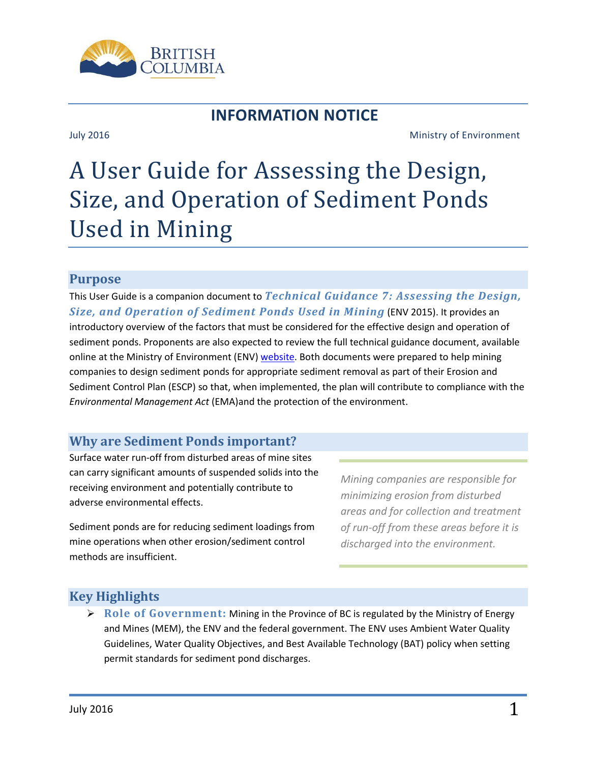

# **INFORMATION NOTICE**

#### July 2016 Ministry of Environment

# A User Guide for Assessing the Design, Size, and Operation of Sediment Ponds Used in Mining

#### **Purpose**

This User Guide is a companion document to *Technical Guidance 7: Assessing the Design, Size, and Operation of Sediment Ponds Used in Mining* (ENV 2015). It provides an introductory overview of the factors that must be considered for the effective design and operation of sediment ponds. Proponents are also expected to review the full technical guidance document, available online at the Ministry of Environment (ENV[\) website.](http://www2.gov.bc.ca/gov/content/environment/waste-management/industrial-waste/mining-smelting/guidance-documents) Both documents were prepared to help mining companies to design sediment ponds for appropriate sediment removal as part of their Erosion and Sediment Control Plan (ESCP) so that, when implemented, the plan will contribute to compliance with the *Environmental Management Act* (EMA)and the protection of the environment.

# **Why are Sediment Ponds important?**

Surface water run-off from disturbed areas of mine sites can carry significant amounts of suspended solids into the receiving environment and potentially contribute to adverse environmental effects.

Sediment ponds are for reducing sediment loadings from mine operations when other erosion/sediment control methods are insufficient.

*Mining companies are responsible for minimizing erosion from disturbed areas and for collection and treatment of run-off from these areas before it is discharged into the environment.*

# **Key Highlights**

 **Role of Government:** Mining in the Province of BC is regulated by the Ministry of Energy and Mines (MEM), the ENV and the federal government. The ENV uses Ambient Water Quality Guidelines, Water Quality Objectives, and Best Available Technology (BAT) policy when setting permit standards for sediment pond discharges.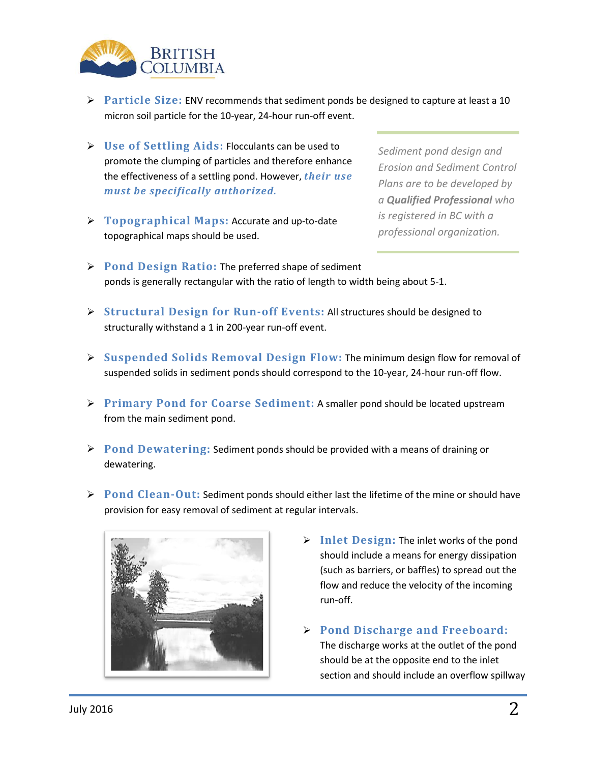

- **Particle Size:** ENV recommends that sediment ponds be designed to capture at least a 10 micron soil particle for the 10-year, 24-hour run-off event.
- **Use of Settling Aids:** Flocculants can be used to promote the clumping of particles and therefore enhance the effectiveness of a settling pond. However, *their use must be specifically authorized.*
- **Topographical Maps:** Accurate and up-to-date topographical maps should be used.

*Sediment pond design and Erosion and Sediment Control Plans are to be developed by a Qualified Professional who is registered in BC with a professional organization.*

- **Pond Design Ratio:** The preferred shape of sediment ponds is generally rectangular with the ratio of length to width being about 5-1.
- **Structural Design for Run-off Events:** All structures should be designed to structurally withstand a 1 in 200-year run-off event.
- **Suspended Solids Removal Design Flow:** The minimum design flow for removal of suspended solids in sediment ponds should correspond to the 10-year, 24-hour run-off flow.
- **Primary Pond for Coarse Sediment:** A smaller pond should be located upstream from the main sediment pond.
- **Pond Dewatering:** Sediment ponds should be provided with a means of draining or dewatering.
- **Pond Clean-Out:** Sediment ponds should either last the lifetime of the mine or should have provision for easy removal of sediment at regular intervals.



- **Inlet Design:** The inlet works of the pond should include a means for energy dissipation (such as barriers, or baffles) to spread out the flow and reduce the velocity of the incoming run-off.
- **Pond Discharge and Freeboard:** The discharge works at the outlet of the pond should be at the opposite end to the inlet section and should include an overflow spillway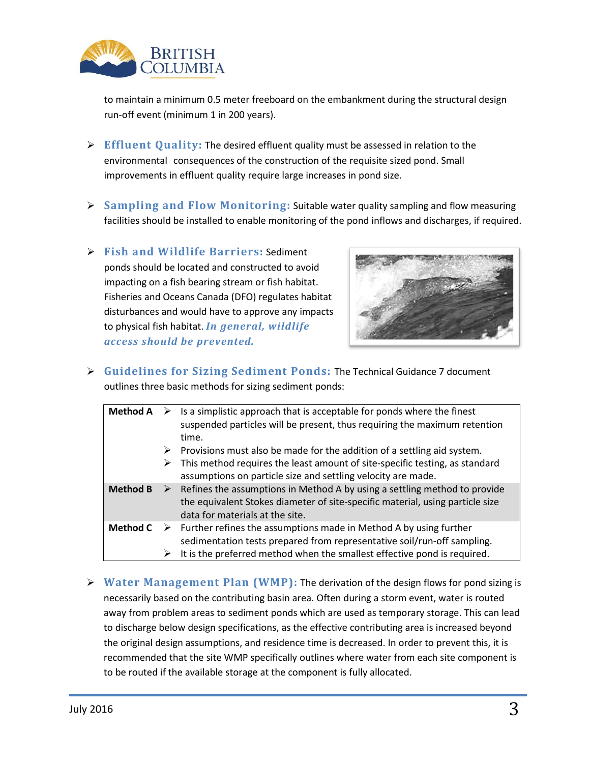

to maintain a minimum 0.5 meter freeboard on the embankment during the structural design run-off event (minimum 1 in 200 years).

- **Effluent Quality:** The desired effluent quality must be assessed in relation to the environmental consequences of the construction of the requisite sized pond. Small improvements in effluent quality require large increases in pond size.
- **Sampling and Flow Monitoring:** Suitable water quality sampling and flow measuring facilities should be installed to enable monitoring of the pond inflows and discharges, if required.
- **Fish and Wildlife Barriers:** Sediment ponds should be located and constructed to avoid impacting on a fish bearing stream or fish habitat. Fisheries and Oceans Canada (DFO) regulates habitat disturbances and would have to approve any impacts to physical fish habitat. *In general, wildlife access should be prevented.*



 **Guidelines for Sizing Sediment Ponds:** The Technical Guidance 7 document outlines three basic methods for sizing sediment ponds:

| <b>Method A</b> | ➤<br>➤ | Is a simplistic approach that is acceptable for ponds where the finest<br>suspended particles will be present, thus requiring the maximum retention<br>time.<br>Provisions must also be made for the addition of a settling aid system.   |
|-----------------|--------|-------------------------------------------------------------------------------------------------------------------------------------------------------------------------------------------------------------------------------------------|
|                 | ➤      | This method requires the least amount of site-specific testing, as standard<br>assumptions on particle size and settling velocity are made.                                                                                               |
| <b>Method B</b> |        | Refines the assumptions in Method A by using a settling method to provide<br>the equivalent Stokes diameter of site-specific material, using particle size<br>data for materials at the site.                                             |
| <b>Method C</b> |        | $\triangleright$ Further refines the assumptions made in Method A by using further<br>sedimentation tests prepared from representative soil/run-off sampling.<br>It is the preferred method when the smallest effective pond is required. |

 **Water Management Plan (WMP):** The derivation of the design flows for pond sizing is necessarily based on the contributing basin area. Often during a storm event, water is routed away from problem areas to sediment ponds which are used as temporary storage. This can lead to discharge below design specifications, as the effective contributing area is increased beyond the original design assumptions, and residence time is decreased. In order to prevent this, it is recommended that the site WMP specifically outlines where water from each site component is to be routed if the available storage at the component is fully allocated.